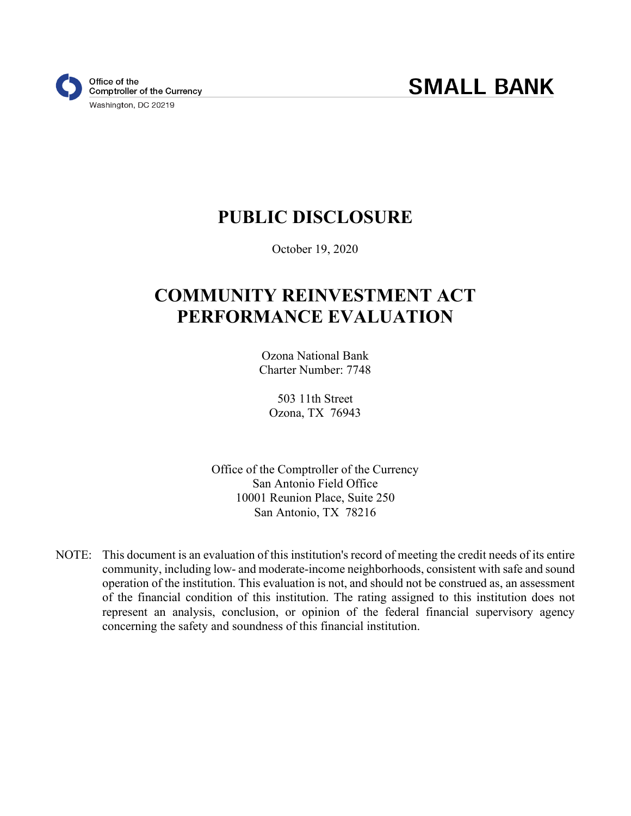# **PUBLIC DISCLOSURE**

October 19, 2020

# **COMMUNITY REINVESTMENT ACT PERFORMANCE EVALUATION**

Ozona National Bank Charter Number: 7748

503 11th Street Ozona, TX 76943

Office of the Comptroller of the Currency San Antonio Field Office 10001 Reunion Place, Suite 250 San Antonio, TX 78216

NOTE: This document is an evaluation of this institution's record of meeting the credit needs of its entire community, including low- and moderate-income neighborhoods, consistent with safe and sound operation of the institution. This evaluation is not, and should not be construed as, an assessment of the financial condition of this institution. The rating assigned to this institution does not represent an analysis, conclusion, or opinion of the federal financial supervisory agency concerning the safety and soundness of this financial institution.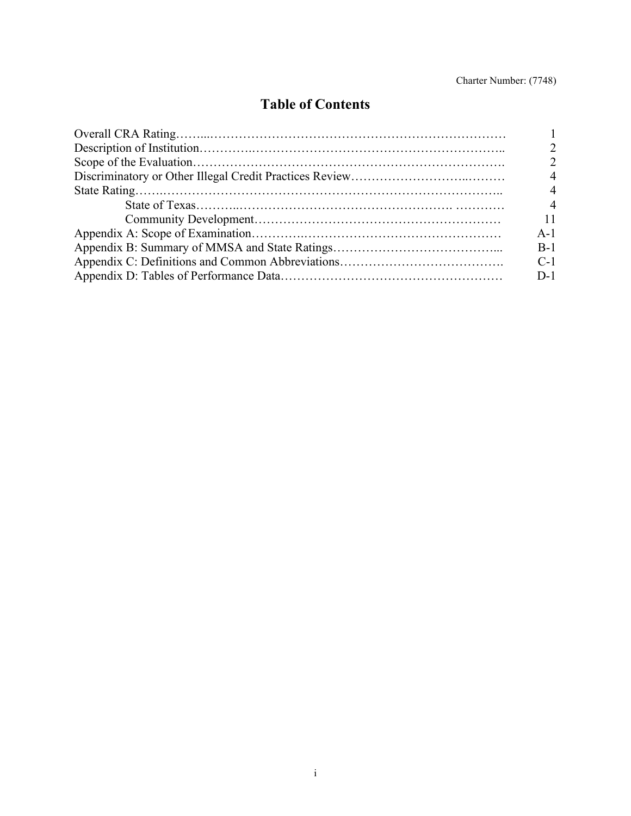## **Table of Contents**

| $\Delta$                    |
|-----------------------------|
|                             |
| $\boldsymbol{\vartriangle}$ |
|                             |
| $A-1$                       |
| $B-1$                       |
| $C-1$                       |
| $D-1$                       |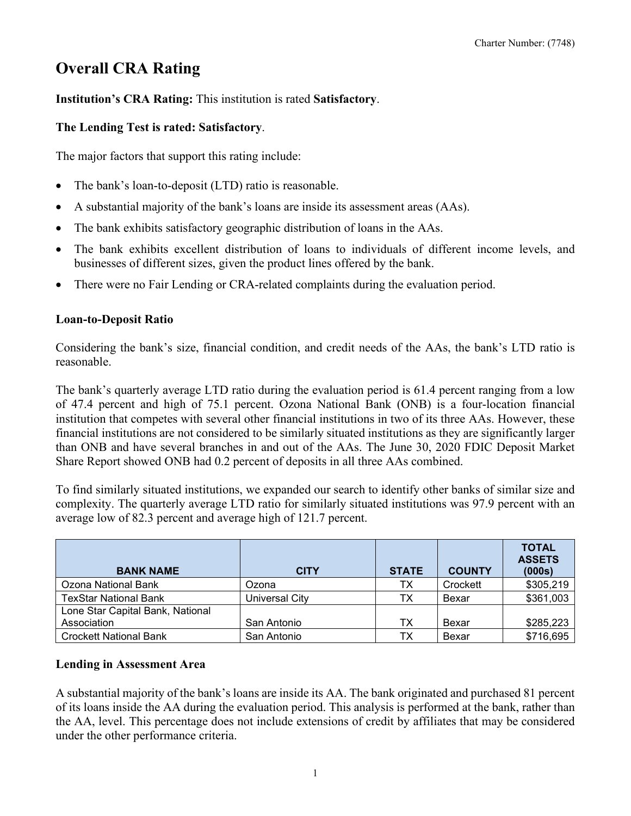# **Overall CRA Rating**

## **Institution's CRA Rating:** This institution is rated **Satisfactory**.

### **The Lending Test is rated: Satisfactory**.

The major factors that support this rating include:

- The bank's loan-to-deposit (LTD) ratio is reasonable.
- A substantial majority of the bank's loans are inside its assessment areas (AAs).
- The bank exhibits satisfactory geographic distribution of loans in the AAs.
- The bank exhibits excellent distribution of loans to individuals of different income levels, and businesses of different sizes, given the product lines offered by the bank.
- There were no Fair Lending or CRA-related complaints during the evaluation period.

#### **Loan-to-Deposit Ratio**

Considering the bank's size, financial condition, and credit needs of the AAs, the bank's LTD ratio is reasonable.

The bank's quarterly average LTD ratio during the evaluation period is 61.4 percent ranging from a low of 47.4 percent and high of 75.1 percent. Ozona National Bank (ONB) is a four-location financial institution that competes with several other financial institutions in two of its three AAs. However, these financial institutions are not considered to be similarly situated institutions as they are significantly larger than ONB and have several branches in and out of the AAs. The June 30, 2020 FDIC Deposit Market Share Report showed ONB had 0.2 percent of deposits in all three AAs combined.

To find similarly situated institutions, we expanded our search to identify other banks of similar size and complexity. The quarterly average LTD ratio for similarly situated institutions was 97.9 percent with an average low of 82.3 percent and average high of 121.7 percent.

| <b>BANK NAME</b>                 | <b>CITY</b>    | <b>STATE</b> | <b>COUNTY</b> | <b>TOTAL</b><br><b>ASSETS</b><br>(000s) |
|----------------------------------|----------------|--------------|---------------|-----------------------------------------|
| Ozona National Bank              | Ozona          | ТX           | Crockett      | \$305,219                               |
| <b>TexStar National Bank</b>     | Universal City | тх           | Bexar         | \$361,003                               |
| Lone Star Capital Bank, National |                |              |               |                                         |
| Association                      | San Antonio    | тх           | Bexar         | \$285,223                               |
| <b>Crockett National Bank</b>    | San Antonio    | ТX           | Bexar         | \$716,695                               |

## **Lending in Assessment Area**

A substantial majority of the bank's loans are inside its AA. The bank originated and purchased 81 percent of its loans inside the AA during the evaluation period. This analysis is performed at the bank, rather than the AA, level. This percentage does not include extensions of credit by affiliates that may be considered under the other performance criteria.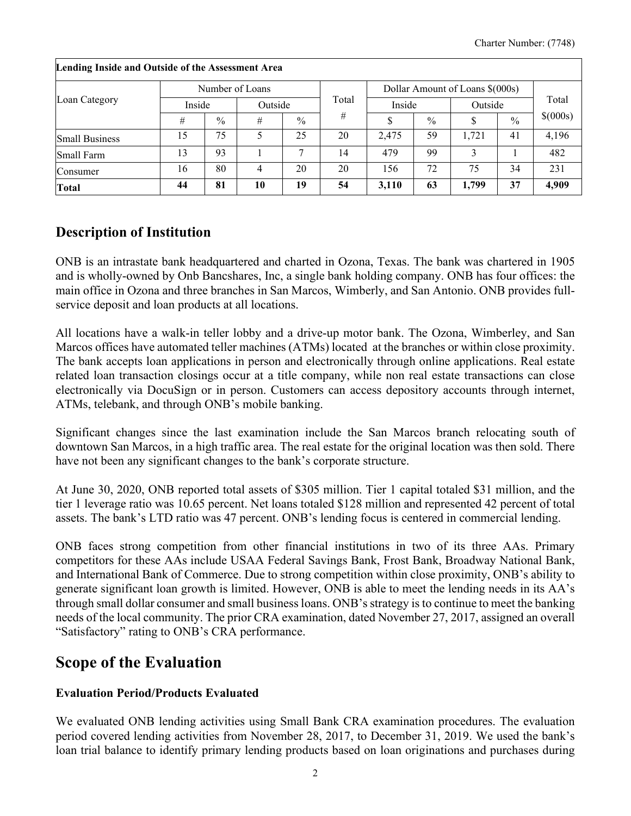| $\cdot$               |        |               |                 |               |       |                                 |      |         |               |          |  |
|-----------------------|--------|---------------|-----------------|---------------|-------|---------------------------------|------|---------|---------------|----------|--|
|                       |        |               | Number of Loans |               |       | Dollar Amount of Loans \$(000s) |      |         |               |          |  |
| Loan Category         | Inside |               | Outside         |               | Total | Inside                          |      | Outside |               | Total    |  |
|                       | #      | $\frac{0}{0}$ | #               | $\frac{0}{0}$ | #     |                                 | $\%$ |         | $\frac{0}{0}$ | \$(000s) |  |
| <b>Small Business</b> | 15     | 75            |                 | 25            | 20    | 2,475                           | 59   | 1.721   | 41            | 4,196    |  |
| <b>Small Farm</b>     | 13     | 93            |                 |               | 14    | 479                             | 99   |         |               | 482      |  |
| Consumer              | 16     | 80            |                 | 20            | 20    | 156                             | 72   | 75      | 34            | 231      |  |
| <b>Total</b>          | 44     | 81            | 10              | 19            | 54    | 3,110                           | 63   | 1,799   | 37            | 4,909    |  |

#### **Lending Inside and Outside of the Assessment Area**

## **Description of Institution**

ONB is an intrastate bank headquartered and charted in Ozona, Texas. The bank was chartered in 1905 and is wholly-owned by Onb Bancshares, Inc, a single bank holding company. ONB has four offices: the main office in Ozona and three branches in San Marcos, Wimberly, and San Antonio. ONB provides fullservice deposit and loan products at all locations.

All locations have a walk-in teller lobby and a drive-up motor bank. The Ozona, Wimberley, and San Marcos offices have automated teller machines (ATMs) located at the branches or within close proximity. The bank accepts loan applications in person and electronically through online applications. Real estate related loan transaction closings occur at a title company, while non real estate transactions can close electronically via DocuSign or in person. Customers can access depository accounts through internet, ATMs, telebank, and through ONB's mobile banking.

Significant changes since the last examination include the San Marcos branch relocating south of downtown San Marcos, in a high traffic area. The real estate for the original location was then sold. There have not been any significant changes to the bank's corporate structure.

At June 30, 2020, ONB reported total assets of \$305 million. Tier 1 capital totaled \$31 million, and the tier 1 leverage ratio was 10.65 percent. Net loans totaled \$128 million and represented 42 percent of total assets. The bank's LTD ratio was 47 percent. ONB's lending focus is centered in commercial lending.

ONB faces strong competition from other financial institutions in two of its three AAs. Primary competitors for these AAs include USAA Federal Savings Bank, Frost Bank, Broadway National Bank, and International Bank of Commerce. Due to strong competition within close proximity, ONB's ability to generate significant loan growth is limited. However, ONB is able to meet the lending needs in its AA's through small dollar consumer and small businessloans. ONB's strategy is to continue to meet the banking needs of the local community. The prior CRA examination, dated November 27, 2017, assigned an overall "Satisfactory" rating to ONB's CRA performance.

## **Scope of the Evaluation**

#### **Evaluation Period/Products Evaluated**

We evaluated ONB lending activities using Small Bank CRA examination procedures. The evaluation period covered lending activities from November 28, 2017, to December 31, 2019. We used the bank's loan trial balance to identify primary lending products based on loan originations and purchases during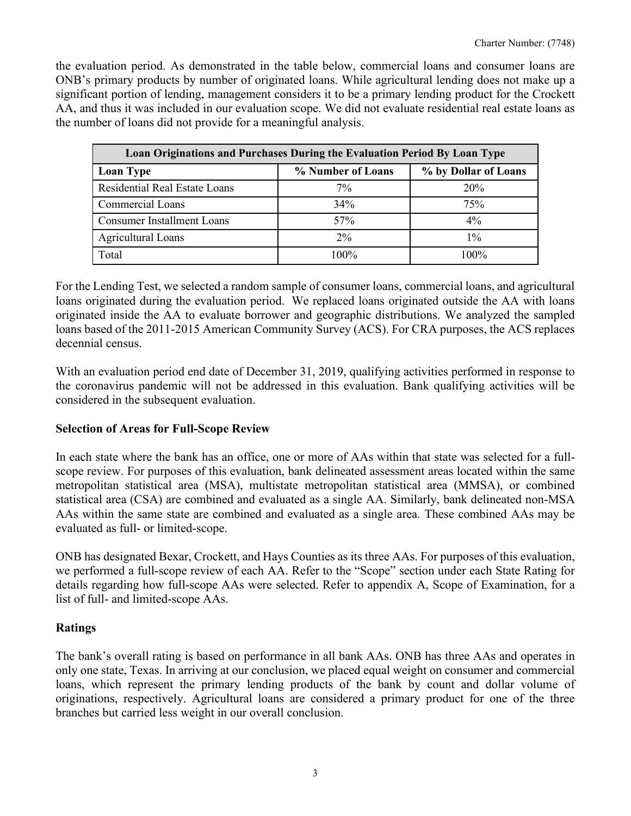the evaluation period. As demonstrated in the table below, commercial loans and consumer loans are ONB's primary products by number of originated loans. While agricultural lending does not make up a significant portion of lending, management considers it to be a primary lending product for the Crockett AA, and thus it was included in our evaluation scope. We did not evaluate residential real estate loans as the number of loans did not provide for a meaningful analysis.

| <b>Loan Originations and Purchases During the Evaluation Period By Loan Type</b> |                   |                      |
|----------------------------------------------------------------------------------|-------------------|----------------------|
| <b>Loan Type</b>                                                                 | % Number of Loans | % by Dollar of Loans |
| Residential Real Estate Loans                                                    | 7%                | 20%                  |
| <b>Commercial Loans</b>                                                          | 34%               | 75%                  |
| <b>Consumer Installment Loans</b>                                                | 57%               | $4\%$                |
| <b>Agricultural Loans</b>                                                        | 2%                | $1\%$                |
| Total                                                                            | 100%              | 100%                 |

For the Lending Test, we selected a random sample of consumer loans, commercial loans, and agricultural loans originated during the evaluation period. We replaced loans originated outside the AA with loans originated inside the AA to evaluate borrower and geographic distributions. We analyzed the sampled loans based of the 2011-2015 American Community Survey (ACS). For CRA purposes, the ACS replaces decennial census.

With an evaluation period end date of December 31, 2019, qualifying activities performed in response to the coronavirus pandemic will not be addressed in this evaluation. Bank qualifying activities will be considered in the subsequent evaluation.

#### **Selection of Areas for Full-Scope Review**

In each state where the bank has an office, one or more of AAs within that state was selected for a fullscope review. For purposes of this evaluation, bank delineated assessment areas located within the same metropolitan statistical area (MSA), multistate metropolitan statistical area (MMSA), or combined statistical area (CSA) are combined and evaluated as a single AA. Similarly, bank delineated non-MSA AAs within the same state are combined and evaluated as a single area. These combined AAs may be evaluated as full- or limited-scope.

ONB has designated Bexar, Crockett, and Hays Counties as its three AAs. For purposes of this evaluation, we performed a full-scope review of each AA. Refer to the "Scope" section under each State Rating for details regarding how full-scope AAs were selected. Refer to appendix A, Scope of Examination, for a list of full- and limited-scope AAs.

## **Ratings**

The bank's overall rating is based on performance in all bank AAs. ONB has three AAs and operates in only one state, Texas. In arriving at our conclusion, we placed equal weight on consumer and commercial loans, which represent the primary lending products of the bank by count and dollar volume of originations, respectively. Agricultural loans are considered a primary product for one of the three branches but carried less weight in our overall conclusion.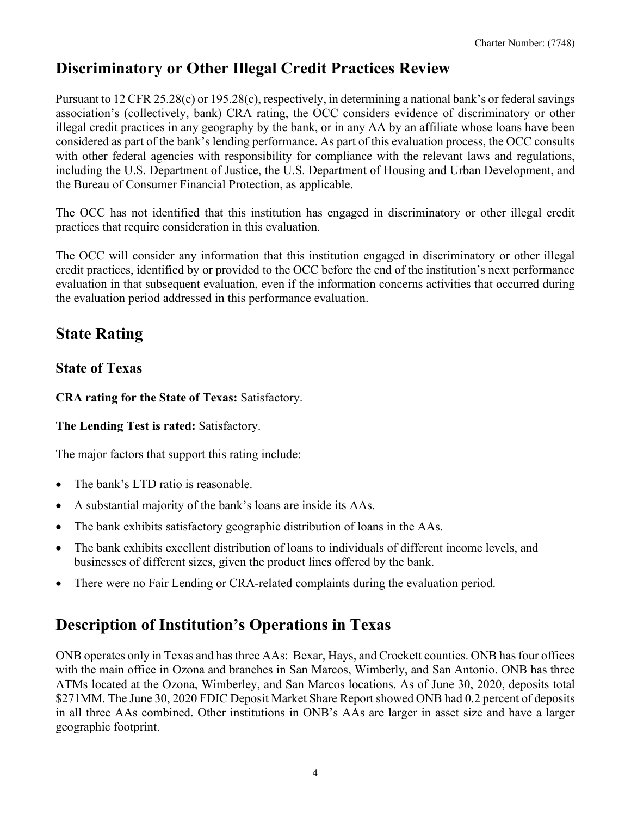# **Discriminatory or Other Illegal Credit Practices Review**

Pursuant to 12 CFR 25.28(c) or 195.28(c), respectively, in determining a national bank's or federal savings association's (collectively, bank) CRA rating, the OCC considers evidence of discriminatory or other illegal credit practices in any geography by the bank, or in any AA by an affiliate whose loans have been considered as part of the bank's lending performance. As part of this evaluation process, the OCC consults with other federal agencies with responsibility for compliance with the relevant laws and regulations, including the U.S. Department of Justice, the U.S. Department of Housing and Urban Development, and the Bureau of Consumer Financial Protection, as applicable.

The OCC has not identified that this institution has engaged in discriminatory or other illegal credit practices that require consideration in this evaluation.

The OCC will consider any information that this institution engaged in discriminatory or other illegal credit practices, identified by or provided to the OCC before the end of the institution's next performance evaluation in that subsequent evaluation, even if the information concerns activities that occurred during the evaluation period addressed in this performance evaluation.

# **State Rating**

## **State of Texas**

**CRA rating for the State of Texas:** Satisfactory.

**The Lending Test is rated:** Satisfactory.

The major factors that support this rating include:

- The bank's LTD ratio is reasonable.
- A substantial majority of the bank's loans are inside its AAs.
- The bank exhibits satisfactory geographic distribution of loans in the AAs.
- The bank exhibits excellent distribution of loans to individuals of different income levels, and businesses of different sizes, given the product lines offered by the bank.
- There were no Fair Lending or CRA-related complaints during the evaluation period.

# **Description of Institution's Operations in Texas**

ONB operates only in Texas and has three AAs: Bexar, Hays, and Crockett counties. ONB has four offices with the main office in Ozona and branches in San Marcos, Wimberly, and San Antonio. ONB has three ATMs located at the Ozona, Wimberley, and San Marcos locations. As of June 30, 2020, deposits total \$271MM. The June 30, 2020 FDIC Deposit Market Share Report showed ONB had 0.2 percent of deposits in all three AAs combined. Other institutions in ONB's AAs are larger in asset size and have a larger geographic footprint.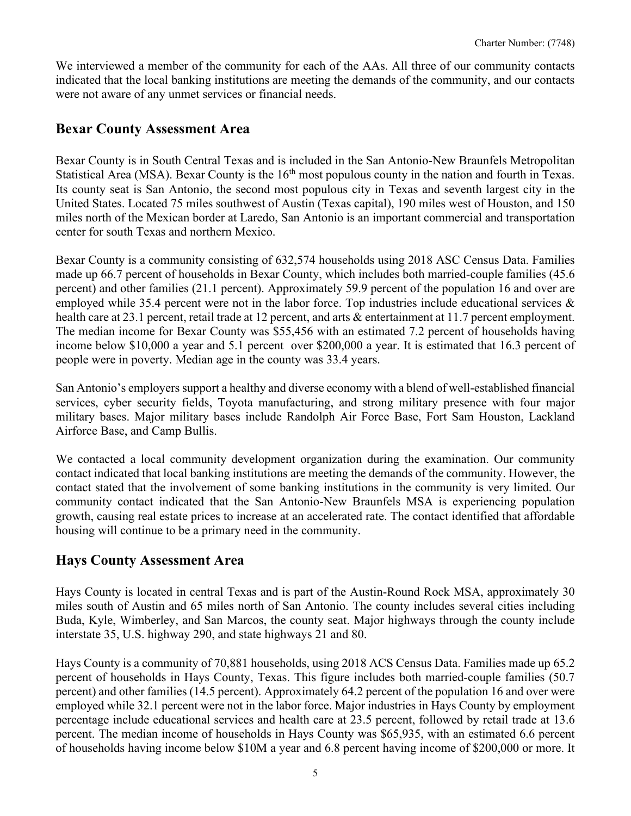We interviewed a member of the community for each of the AAs. All three of our community contacts indicated that the local banking institutions are meeting the demands of the community, and our contacts were not aware of any unmet services or financial needs.

## **Bexar County Assessment Area**

Bexar County is in South Central Texas and is included in the San Antonio-New Braunfels Metropolitan Statistical Area (MSA). Bexar County is the 16<sup>th</sup> most populous county in the nation and fourth in Texas. Its county seat is San Antonio, the second most populous city in Texas and seventh largest city in the United States. Located 75 miles southwest of Austin (Texas capital), 190 miles west of Houston, and 150 miles north of the Mexican border at Laredo, San Antonio is an important commercial and transportation center for south Texas and northern Mexico.

Bexar County is a community consisting of 632,574 households using 2018 ASC Census Data. Families made up 66.7 percent of households in Bexar County, which includes both married-couple families (45.6 percent) and other families (21.1 percent). Approximately 59.9 percent of the population 16 and over are employed while 35.4 percent were not in the labor force. Top industries include educational services & health care at 23.1 percent, retail trade at 12 percent, and arts & entertainment at 11.7 percent employment. The median income for Bexar County was \$55,456 with an estimated 7.2 percent of households having income below \$10,000 a year and 5.1 percent over \$200,000 a year. It is estimated that 16.3 percent of people were in poverty. Median age in the county was 33.4 years.

San Antonio's employers support a healthy and diverse economy with a blend of well-established financial services, cyber security fields, Toyota manufacturing, and strong military presence with four major military bases. Major military bases include Randolph Air Force Base, Fort Sam Houston, Lackland Airforce Base, and Camp Bullis.

We contacted a local community development organization during the examination. Our community contact indicated that local banking institutions are meeting the demands of the community. However, the contact stated that the involvement of some banking institutions in the community is very limited. Our community contact indicated that the San Antonio-New Braunfels MSA is experiencing population growth, causing real estate prices to increase at an accelerated rate. The contact identified that affordable housing will continue to be a primary need in the community.

## **Hays County Assessment Area**

Hays County is located in central Texas and is part of the Austin-Round Rock MSA, approximately 30 miles south of Austin and 65 miles north of San Antonio. The county includes several cities including Buda, Kyle, Wimberley, and San Marcos, the county seat. Major highways through the county include interstate 35, U.S. highway 290, and state highways 21 and 80.

Hays County is a community of 70,881 households, using 2018 ACS Census Data. Families made up 65.2 percent of households in Hays County, Texas. This figure includes both married-couple families (50.7 percent) and other families (14.5 percent). Approximately 64.2 percent of the population 16 and over were employed while 32.1 percent were not in the labor force. Major industries in Hays County by employment percentage include educational services and health care at 23.5 percent, followed by retail trade at 13.6 percent. The median income of households in Hays County was \$65,935, with an estimated 6.6 percent of households having income below \$10M a year and 6.8 percent having income of \$200,000 or more. It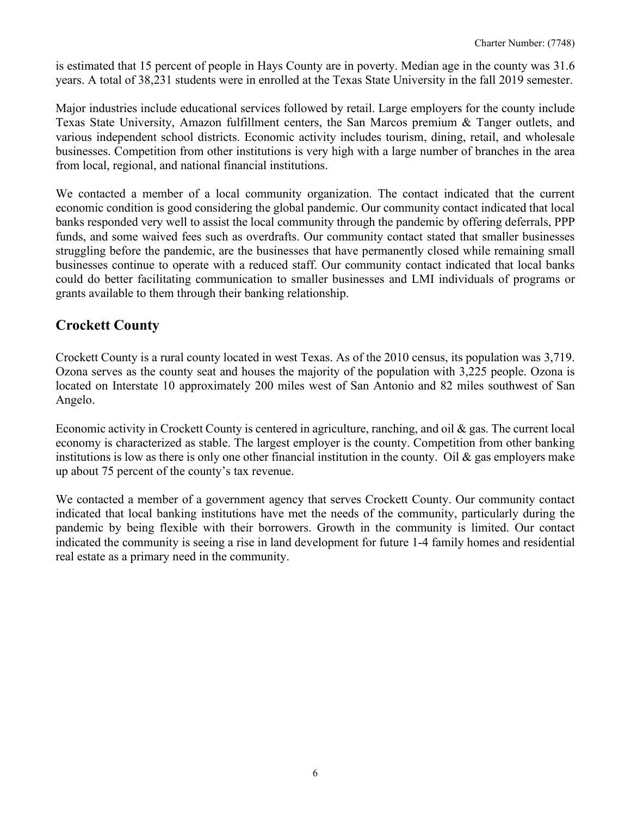is estimated that 15 percent of people in Hays County are in poverty. Median age in the county was 31.6 years. A total of 38,231 students were in enrolled at the Texas State University in the fall 2019 semester.

Major industries include educational services followed by retail. Large employers for the county include Texas State University, Amazon fulfillment centers, the San Marcos premium & Tanger outlets, and various independent school districts. Economic activity includes tourism, dining, retail, and wholesale businesses. Competition from other institutions is very high with a large number of branches in the area from local, regional, and national financial institutions.

We contacted a member of a local community organization. The contact indicated that the current economic condition is good considering the global pandemic. Our community contact indicated that local banks responded very well to assist the local community through the pandemic by offering deferrals, PPP funds, and some waived fees such as overdrafts. Our community contact stated that smaller businesses struggling before the pandemic, are the businesses that have permanently closed while remaining small businesses continue to operate with a reduced staff. Our community contact indicated that local banks could do better facilitating communication to smaller businesses and LMI individuals of programs or grants available to them through their banking relationship.

## **Crockett County**

Crockett County is a rural county located in west Texas. As of the 2010 census, its population was 3,719. Ozona serves as the county seat and houses the majority of the population with 3,225 people. Ozona is located on Interstate 10 approximately 200 miles west of San Antonio and 82 miles southwest of San Angelo.

Economic activity in Crockett County is centered in agriculture, ranching, and oil & gas. The current local economy is characterized as stable. The largest employer is the county. Competition from other banking institutions is low as there is only one other financial institution in the county. Oil  $\&$  gas employers make up about 75 percent of the county's tax revenue.

We contacted a member of a government agency that serves Crockett County. Our community contact indicated that local banking institutions have met the needs of the community, particularly during the pandemic by being flexible with their borrowers. Growth in the community is limited. Our contact indicated the community is seeing a rise in land development for future 1-4 family homes and residential real estate as a primary need in the community.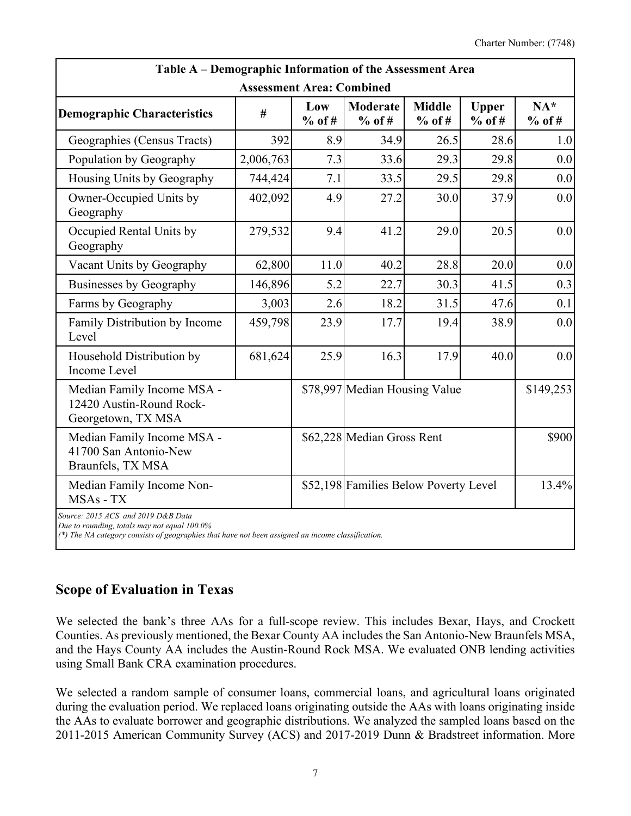| Table A – Demographic Information of the Assessment Area                                                                                                                                |                                  |                 |                                       |                           |                          |                   |
|-----------------------------------------------------------------------------------------------------------------------------------------------------------------------------------------|----------------------------------|-----------------|---------------------------------------|---------------------------|--------------------------|-------------------|
|                                                                                                                                                                                         | <b>Assessment Area: Combined</b> |                 |                                       |                           |                          |                   |
| <b>Demographic Characteristics</b>                                                                                                                                                      | #                                | Low<br>$%$ of # | Moderate<br>$%$ of #                  | <b>Middle</b><br>$%$ of # | <b>Upper</b><br>$%$ of # | $NA*$<br>$%$ of # |
| Geographies (Census Tracts)                                                                                                                                                             | 392                              | 8.9             | 34.9                                  | 26.5                      | 28.6                     | 1.0               |
| Population by Geography                                                                                                                                                                 | 2,006,763                        | 7.3             | 33.6                                  | 29.3                      | 29.8                     | 0.0               |
| Housing Units by Geography                                                                                                                                                              | 744,424                          | 7.1             | 33.5                                  | 29.5                      | 29.8                     | 0.0               |
| Owner-Occupied Units by<br>Geography                                                                                                                                                    | 402,092                          | 4.9             | 27.2                                  | 30.0                      | 37.9                     | 0.0               |
| Occupied Rental Units by<br>Geography                                                                                                                                                   | 279,532                          | 9.4             | 41.2                                  | 29.0                      | 20.5                     | 0.0               |
| Vacant Units by Geography                                                                                                                                                               | 62,800                           | 11.0            | 40.2                                  | 28.8                      | 20.0                     | 0.0               |
| Businesses by Geography                                                                                                                                                                 | 146,896                          | 5.2             | 22.7                                  | 30.3                      | 41.5                     | 0.3               |
| Farms by Geography                                                                                                                                                                      | 3,003                            | 2.6             | 18.2                                  | 31.5                      | 47.6                     | 0.1               |
| Family Distribution by Income<br>Level                                                                                                                                                  | 459,798                          | 23.9            | 17.7                                  | 19.4                      | 38.9                     | 0.0               |
| Household Distribution by<br><b>Income Level</b>                                                                                                                                        | 681,624                          | 25.9            | 16.3                                  | 17.9                      | 40.0                     | 0.0               |
| Median Family Income MSA -<br>12420 Austin-Round Rock-<br>Georgetown, TX MSA                                                                                                            |                                  |                 | \$78,997 Median Housing Value         |                           |                          | \$149,253         |
| Median Family Income MSA -<br>41700 San Antonio-New<br>Braunfels, TX MSA                                                                                                                |                                  |                 | \$62,228 Median Gross Rent            |                           |                          | \$900             |
| Median Family Income Non-<br>MSAs - TX                                                                                                                                                  |                                  |                 | \$52,198 Families Below Poverty Level |                           |                          | 13.4%             |
| Source: 2015 ACS and 2019 D&B Data<br>Due to rounding, totals may not equal 100.0%<br>(*) The NA category consists of geographies that have not been assigned an income classification. |                                  |                 |                                       |                           |                          |                   |

## **Scope of Evaluation in Texas**

We selected the bank's three AAs for a full-scope review. This includes Bexar, Hays, and Crockett Counties. As previously mentioned, the Bexar County AA includes the San Antonio-New Braunfels MSA, and the Hays County AA includes the Austin-Round Rock MSA. We evaluated ONB lending activities using Small Bank CRA examination procedures.

We selected a random sample of consumer loans, commercial loans, and agricultural loans originated during the evaluation period. We replaced loans originating outside the AAs with loans originating inside the AAs to evaluate borrower and geographic distributions. We analyzed the sampled loans based on the 2011-2015 American Community Survey (ACS) and 2017-2019 Dunn & Bradstreet information. More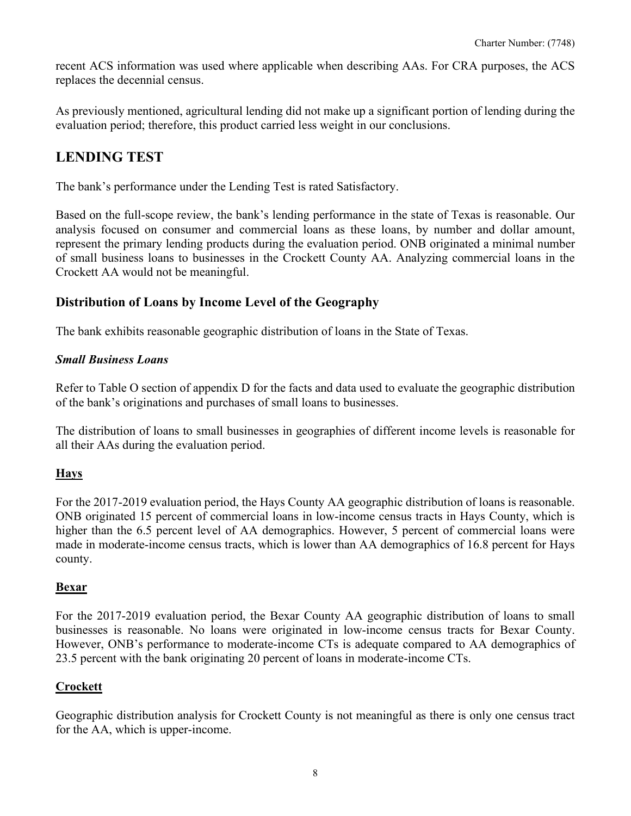recent ACS information was used where applicable when describing AAs. For CRA purposes, the ACS replaces the decennial census.

As previously mentioned, agricultural lending did not make up a significant portion of lending during the evaluation period; therefore, this product carried less weight in our conclusions.

## **LENDING TEST**

The bank's performance under the Lending Test is rated Satisfactory.

Based on the full-scope review, the bank's lending performance in the state of Texas is reasonable. Our analysis focused on consumer and commercial loans as these loans, by number and dollar amount, represent the primary lending products during the evaluation period. ONB originated a minimal number of small business loans to businesses in the Crockett County AA. Analyzing commercial loans in the Crockett AA would not be meaningful.

### **Distribution of Loans by Income Level of the Geography**

The bank exhibits reasonable geographic distribution of loans in the State of Texas.

#### *Small Business Loans*

Refer to Table O section of appendix D for the facts and data used to evaluate the geographic distribution of the bank's originations and purchases of small loans to businesses.

The distribution of loans to small businesses in geographies of different income levels is reasonable for all their AAs during the evaluation period.

#### **Hays**

For the 2017-2019 evaluation period, the Hays County AA geographic distribution of loans is reasonable. ONB originated 15 percent of commercial loans in low-income census tracts in Hays County, which is higher than the 6.5 percent level of AA demographics. However, 5 percent of commercial loans were made in moderate-income census tracts, which is lower than AA demographics of 16.8 percent for Hays county.

#### **Bexar**

For the 2017-2019 evaluation period, the Bexar County AA geographic distribution of loans to small businesses is reasonable. No loans were originated in low-income census tracts for Bexar County. However, ONB's performance to moderate-income CTs is adequate compared to AA demographics of 23.5 percent with the bank originating 20 percent of loans in moderate-income CTs.

#### **Crockett**

Geographic distribution analysis for Crockett County is not meaningful as there is only one census tract for the AA, which is upper-income.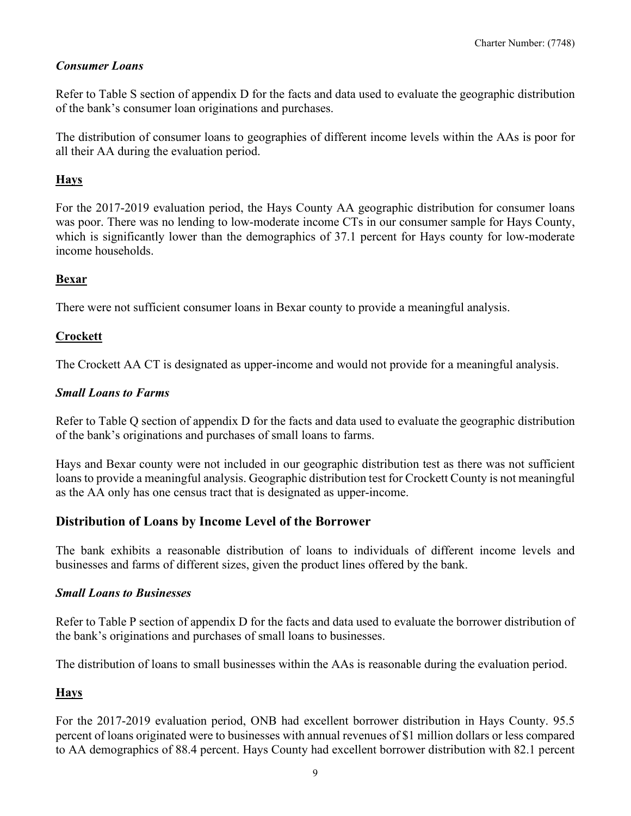### *Consumer Loans*

Refer to Table S section of appendix D for the facts and data used to evaluate the geographic distribution of the bank's consumer loan originations and purchases.

The distribution of consumer loans to geographies of different income levels within the AAs is poor for all their AA during the evaluation period.

### **Hays**

For the 2017-2019 evaluation period, the Hays County AA geographic distribution for consumer loans was poor. There was no lending to low-moderate income CTs in our consumer sample for Hays County, which is significantly lower than the demographics of 37.1 percent for Hays county for low-moderate income households.

#### **Bexar**

There were not sufficient consumer loans in Bexar county to provide a meaningful analysis.

### **Crockett**

The Crockett AA CT is designated as upper-income and would not provide for a meaningful analysis.

### *Small Loans to Farms*

Refer to Table Q section of appendix D for the facts and data used to evaluate the geographic distribution of the bank's originations and purchases of small loans to farms.

Hays and Bexar county were not included in our geographic distribution test as there was not sufficient loans to provide a meaningful analysis. Geographic distribution test for Crockett County is not meaningful as the AA only has one census tract that is designated as upper-income.

## **Distribution of Loans by Income Level of the Borrower**

The bank exhibits a reasonable distribution of loans to individuals of different income levels and businesses and farms of different sizes, given the product lines offered by the bank.

#### *Small Loans to Businesses*

Refer to Table P section of appendix D for the facts and data used to evaluate the borrower distribution of the bank's originations and purchases of small loans to businesses.

The distribution of loans to small businesses within the AAs is reasonable during the evaluation period.

#### **Hays**

For the 2017-2019 evaluation period, ONB had excellent borrower distribution in Hays County. 95.5 percent of loans originated were to businesses with annual revenues of \$1 million dollars or less compared to AA demographics of 88.4 percent. Hays County had excellent borrower distribution with 82.1 percent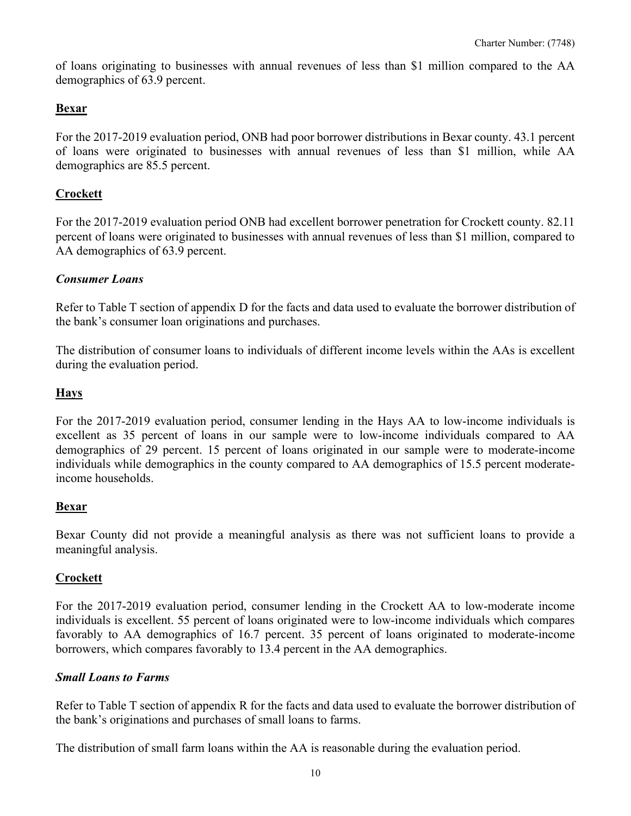of loans originating to businesses with annual revenues of less than \$1 million compared to the AA demographics of 63.9 percent.

#### **Bexar**

For the 2017-2019 evaluation period, ONB had poor borrower distributions in Bexar county. 43.1 percent of loans were originated to businesses with annual revenues of less than \$1 million, while AA demographics are 85.5 percent.

#### **Crockett**

For the 2017-2019 evaluation period ONB had excellent borrower penetration for Crockett county. 82.11 percent of loans were originated to businesses with annual revenues of less than \$1 million, compared to AA demographics of 63.9 percent.

#### *Consumer Loans*

Refer to Table T section of appendix D for the facts and data used to evaluate the borrower distribution of the bank's consumer loan originations and purchases.

The distribution of consumer loans to individuals of different income levels within the AAs is excellent during the evaluation period.

#### **Hays**

For the 2017-2019 evaluation period, consumer lending in the Hays AA to low-income individuals is excellent as 35 percent of loans in our sample were to low-income individuals compared to AA demographics of 29 percent. 15 percent of loans originated in our sample were to moderate-income individuals while demographics in the county compared to AA demographics of 15.5 percent moderateincome households.

#### **Bexar**

Bexar County did not provide a meaningful analysis as there was not sufficient loans to provide a meaningful analysis.

#### **Crockett**

For the 2017-2019 evaluation period, consumer lending in the Crockett AA to low-moderate income individuals is excellent. 55 percent of loans originated were to low-income individuals which compares favorably to AA demographics of 16.7 percent. 35 percent of loans originated to moderate-income borrowers, which compares favorably to 13.4 percent in the AA demographics.

#### *Small Loans to Farms*

Refer to Table T section of appendix R for the facts and data used to evaluate the borrower distribution of the bank's originations and purchases of small loans to farms.

The distribution of small farm loans within the AA is reasonable during the evaluation period.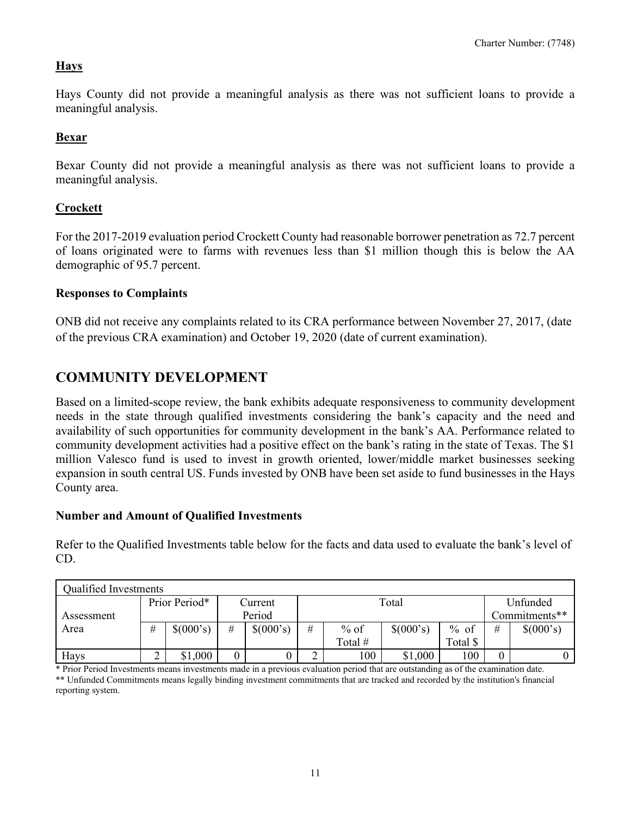#### **Hays**

Hays County did not provide a meaningful analysis as there was not sufficient loans to provide a meaningful analysis.

#### **Bexar**

Bexar County did not provide a meaningful analysis as there was not sufficient loans to provide a meaningful analysis.

#### **Crockett**

For the 2017-2019 evaluation period Crockett County had reasonable borrower penetration as 72.7 percent of loans originated were to farms with revenues less than \$1 million though this is below the AA demographic of 95.7 percent.

#### **Responses to Complaints**

ONB did not receive any complaints related to its CRA performance between November 27, 2017, (date of the previous CRA examination) and October 19, 2020 (date of current examination).

## **COMMUNITY DEVELOPMENT**

Based on a limited-scope review, the bank exhibits adequate responsiveness to community development needs in the state through qualified investments considering the bank's capacity and the need and availability of such opportunities for community development in the bank's AA. Performance related to community development activities had a positive effect on the bank's rating in the state of Texas. The \$1 million Valesco fund is used to invest in growth oriented, lower/middle market businesses seeking expansion in south central US. Funds invested by ONB have been set aside to fund businesses in the Hays County area.

#### **Number and Amount of Qualified Investments**

Refer to the Qualified Investments table below for the facts and data used to evaluate the bank's level of CD.

| <b>Qualified Investments</b> |   |               |   |           |      |           |           |               |                |           |  |
|------------------------------|---|---------------|---|-----------|------|-----------|-----------|---------------|----------------|-----------|--|
|                              |   | Prior Period* |   | Current   |      |           | Total     |               | Unfunded       |           |  |
| Assessment                   |   |               |   | Period    |      |           |           | Commitments** |                |           |  |
| Area                         | # | \$(000's)     | # | \$(000's) | $\#$ | $%$ of    | \$(000's) | $%$ of        | #              | \$(000's) |  |
|                              |   |               |   |           |      | Total $#$ |           | Total \$      |                |           |  |
| Hays                         | ∽ | \$1,000       | 0 |           |      | 100       | \$1,000   | 100           | $\overline{0}$ |           |  |

\* Prior Period Investments means investments made in a previous evaluation period that are outstanding as of the examination date. \*\* Unfunded Commitments means legally binding investment commitments that are tracked and recorded by the institution's financial reporting system.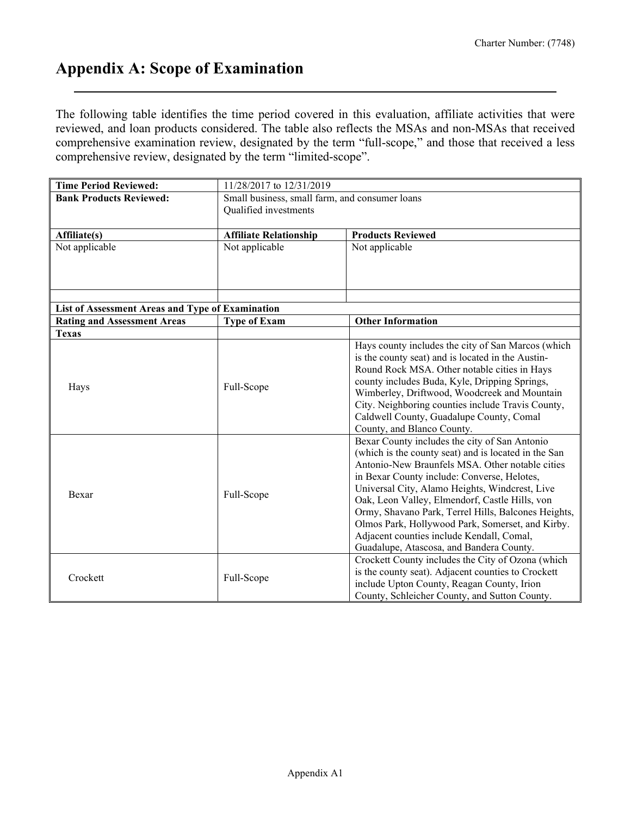# **Appendix A: Scope of Examination**

The following table identifies the time period covered in this evaluation, affiliate activities that were reviewed, and loan products considered. The table also reflects the MSAs and non-MSAs that received comprehensive examination review, designated by the term "full-scope," and those that received a less comprehensive review, designated by the term "limited-scope".

| <b>Time Period Reviewed:</b>                                                           | 11/28/2017 to 12/31/2019                       |                                                      |  |  |  |  |  |  |
|----------------------------------------------------------------------------------------|------------------------------------------------|------------------------------------------------------|--|--|--|--|--|--|
| <b>Bank Products Reviewed:</b>                                                         | Small business, small farm, and consumer loans |                                                      |  |  |  |  |  |  |
|                                                                                        | Qualified investments                          |                                                      |  |  |  |  |  |  |
|                                                                                        |                                                |                                                      |  |  |  |  |  |  |
| Affiliate(s)                                                                           | <b>Affiliate Relationship</b>                  | <b>Products Reviewed</b>                             |  |  |  |  |  |  |
| Not applicable                                                                         | Not applicable                                 | Not applicable                                       |  |  |  |  |  |  |
|                                                                                        |                                                |                                                      |  |  |  |  |  |  |
|                                                                                        |                                                |                                                      |  |  |  |  |  |  |
|                                                                                        |                                                |                                                      |  |  |  |  |  |  |
|                                                                                        |                                                |                                                      |  |  |  |  |  |  |
| List of Assessment Areas and Type of Examination<br><b>Rating and Assessment Areas</b> | <b>Type of Exam</b>                            | <b>Other Information</b>                             |  |  |  |  |  |  |
| <b>Texas</b>                                                                           |                                                |                                                      |  |  |  |  |  |  |
|                                                                                        |                                                | Hays county includes the city of San Marcos (which   |  |  |  |  |  |  |
|                                                                                        |                                                | is the county seat) and is located in the Austin-    |  |  |  |  |  |  |
|                                                                                        |                                                | Round Rock MSA. Other notable cities in Hays         |  |  |  |  |  |  |
|                                                                                        |                                                | county includes Buda, Kyle, Dripping Springs,        |  |  |  |  |  |  |
| Hays                                                                                   | Full-Scope                                     | Wimberley, Driftwood, Woodcreek and Mountain         |  |  |  |  |  |  |
|                                                                                        |                                                | City. Neighboring counties include Travis County,    |  |  |  |  |  |  |
|                                                                                        |                                                | Caldwell County, Guadalupe County, Comal             |  |  |  |  |  |  |
|                                                                                        |                                                | County, and Blanco County.                           |  |  |  |  |  |  |
|                                                                                        |                                                | Bexar County includes the city of San Antonio        |  |  |  |  |  |  |
|                                                                                        |                                                | (which is the county seat) and is located in the San |  |  |  |  |  |  |
|                                                                                        |                                                | Antonio-New Braunfels MSA. Other notable cities      |  |  |  |  |  |  |
|                                                                                        |                                                | in Bexar County include: Converse, Helotes,          |  |  |  |  |  |  |
| Bexar                                                                                  | Full-Scope                                     | Universal City, Alamo Heights, Windcrest, Live       |  |  |  |  |  |  |
|                                                                                        |                                                | Oak, Leon Valley, Elmendorf, Castle Hills, von       |  |  |  |  |  |  |
|                                                                                        |                                                | Ormy, Shavano Park, Terrel Hills, Balcones Heights,  |  |  |  |  |  |  |
|                                                                                        |                                                | Olmos Park, Hollywood Park, Somerset, and Kirby.     |  |  |  |  |  |  |
|                                                                                        |                                                | Adjacent counties include Kendall, Comal,            |  |  |  |  |  |  |
|                                                                                        |                                                | Guadalupe, Atascosa, and Bandera County.             |  |  |  |  |  |  |
|                                                                                        |                                                | Crockett County includes the City of Ozona (which    |  |  |  |  |  |  |
| Crockett                                                                               | Full-Scope                                     | is the county seat). Adjacent counties to Crockett   |  |  |  |  |  |  |
|                                                                                        |                                                | include Upton County, Reagan County, Irion           |  |  |  |  |  |  |
|                                                                                        |                                                | County, Schleicher County, and Sutton County.        |  |  |  |  |  |  |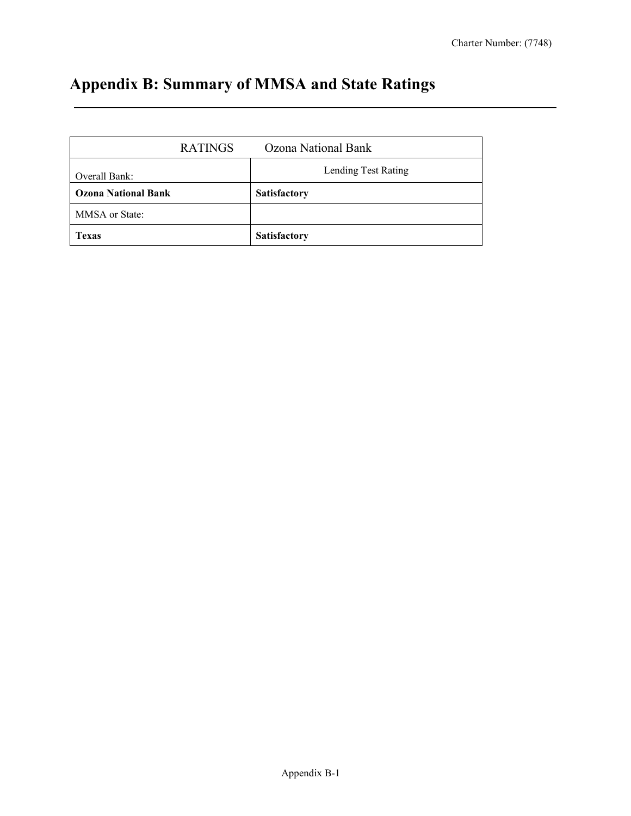# **Appendix B: Summary of MMSA and State Ratings**

| <b>RATINGS</b>             | Ozona National Bank |
|----------------------------|---------------------|
| Overall Bank:              | Lending Test Rating |
| <b>Ozona National Bank</b> | <b>Satisfactory</b> |
| MMSA or State:             |                     |
| <b>Texas</b>               | <b>Satisfactory</b> |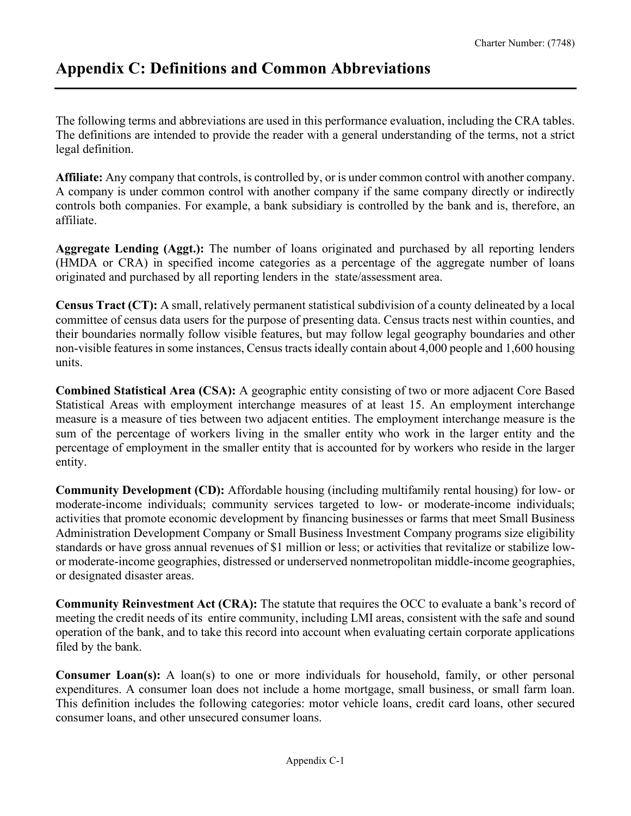# **Appendix C: Definitions and Common Abbreviations**

The following terms and abbreviations are used in this performance evaluation, including the CRA tables. The definitions are intended to provide the reader with a general understanding of the terms, not a strict legal definition.

**Affiliate:** Any company that controls, is controlled by, or is under common control with another company. A company is under common control with another company if the same company directly or indirectly controls both companies. For example, a bank subsidiary is controlled by the bank and is, therefore, an affiliate.

**Aggregate Lending (Aggt.):** The number of loans originated and purchased by all reporting lenders (HMDA or CRA) in specified income categories as a percentage of the aggregate number of loans originated and purchased by all reporting lenders in the state/assessment area.

**Census Tract (CT):** A small, relatively permanent statistical subdivision of a county delineated by a local committee of census data users for the purpose of presenting data. Census tracts nest within counties, and their boundaries normally follow visible features, but may follow legal geography boundaries and other non-visible features in some instances, Census tracts ideally contain about 4,000 people and 1,600 housing units.

**Combined Statistical Area (CSA):** A geographic entity consisting of two or more adjacent Core Based Statistical Areas with employment interchange measures of at least 15. An employment interchange measure is a measure of ties between two adjacent entities. The employment interchange measure is the sum of the percentage of workers living in the smaller entity who work in the larger entity and the percentage of employment in the smaller entity that is accounted for by workers who reside in the larger entity.

**Community Development (CD):** Affordable housing (including multifamily rental housing) for low- or moderate-income individuals; community services targeted to low- or moderate-income individuals; activities that promote economic development by financing businesses or farms that meet Small Business Administration Development Company or Small Business Investment Company programs size eligibility standards or have gross annual revenues of \$1 million or less; or activities that revitalize or stabilize lowor moderate-income geographies, distressed or underserved nonmetropolitan middle-income geographies, or designated disaster areas.

**Community Reinvestment Act (CRA):** The statute that requires the OCC to evaluate a bank's record of meeting the credit needs of its entire community, including LMI areas, consistent with the safe and sound operation of the bank, and to take this record into account when evaluating certain corporate applications filed by the bank.

**Consumer Loan(s):** A loan(s) to one or more individuals for household, family, or other personal expenditures. A consumer loan does not include a home mortgage, small business, or small farm loan. This definition includes the following categories: motor vehicle loans, credit card loans, other secured consumer loans, and other unsecured consumer loans.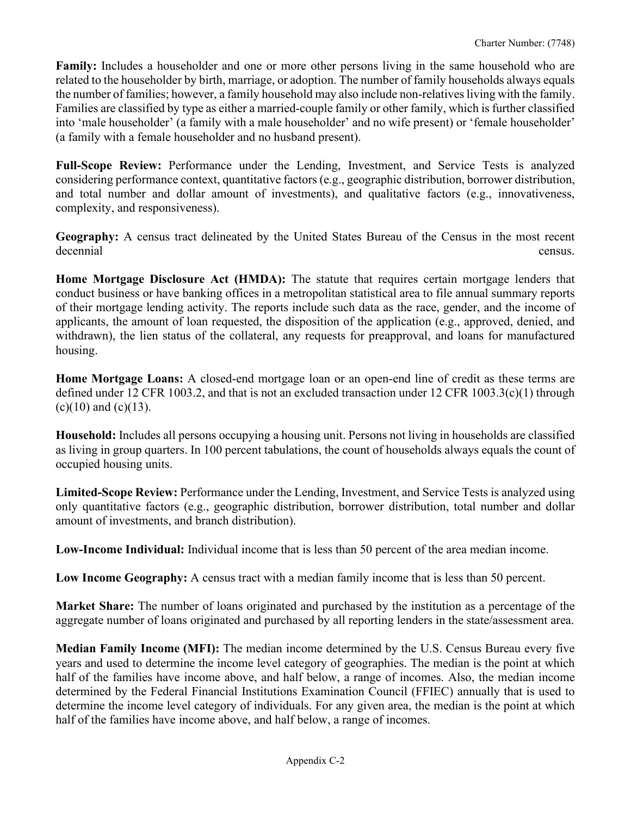**Family:** Includes a householder and one or more other persons living in the same household who are related to the householder by birth, marriage, or adoption. The number of family households always equals the number of families; however, a family household may also include non-relatives living with the family. Families are classified by type as either a married-couple family or other family, which is further classified into 'male householder' (a family with a male householder' and no wife present) or 'female householder' (a family with a female householder and no husband present).

**Full-Scope Review:** Performance under the Lending, Investment, and Service Tests is analyzed considering performance context, quantitative factors (e.g., geographic distribution, borrower distribution, and total number and dollar amount of investments), and qualitative factors (e.g., innovativeness, complexity, and responsiveness).

**Geography:** A census tract delineated by the United States Bureau of the Census in the most recent decennial census.

**Home Mortgage Disclosure Act (HMDA):** The statute that requires certain mortgage lenders that conduct business or have banking offices in a metropolitan statistical area to file annual summary reports of their mortgage lending activity. The reports include such data as the race, gender, and the income of applicants, the amount of loan requested, the disposition of the application (e.g., approved, denied, and withdrawn), the lien status of the collateral, any requests for preapproval, and loans for manufactured housing.

**Home Mortgage Loans:** A closed-end mortgage loan or an open-end line of credit as these terms are defined under 12 CFR 1003.2, and that is not an excluded transaction under 12 CFR 1003.3(c)(1) through  $(c)(10)$  and  $(c)(13)$ .

**Household:** Includes all persons occupying a housing unit. Persons not living in households are classified as living in group quarters. In 100 percent tabulations, the count of households always equals the count of occupied housing units.

**Limited-Scope Review:** Performance under the Lending, Investment, and Service Tests is analyzed using only quantitative factors (e.g., geographic distribution, borrower distribution, total number and dollar amount of investments, and branch distribution).

**Low-Income Individual:** Individual income that is less than 50 percent of the area median income.

**Low Income Geography:** A census tract with a median family income that is less than 50 percent.

**Market Share:** The number of loans originated and purchased by the institution as a percentage of the aggregate number of loans originated and purchased by all reporting lenders in the state/assessment area.

**Median Family Income (MFI):** The median income determined by the U.S. Census Bureau every five years and used to determine the income level category of geographies. The median is the point at which half of the families have income above, and half below, a range of incomes. Also, the median income determined by the Federal Financial Institutions Examination Council (FFIEC) annually that is used to determine the income level category of individuals. For any given area, the median is the point at which half of the families have income above, and half below, a range of incomes.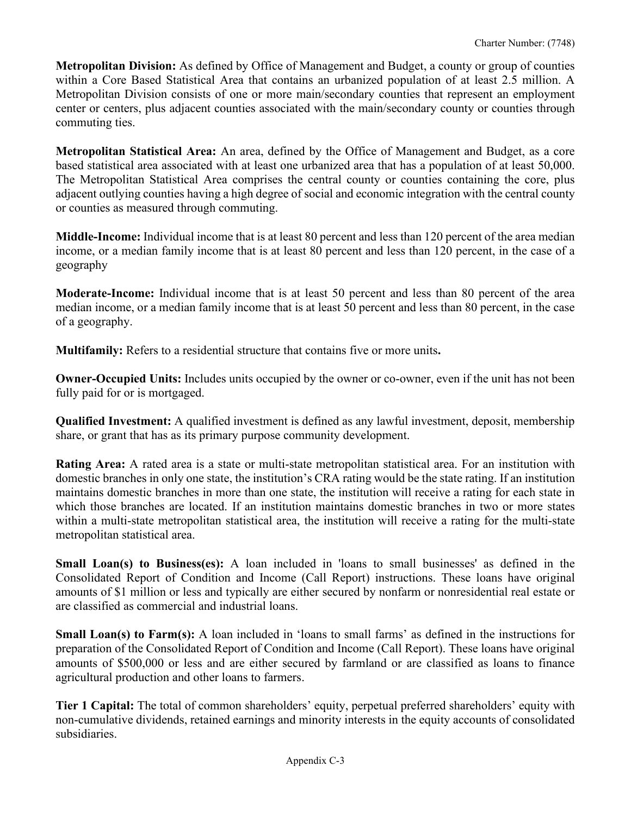**Metropolitan Division:** As defined by Office of Management and Budget, a county or group of counties within a Core Based Statistical Area that contains an urbanized population of at least 2.5 million. A Metropolitan Division consists of one or more main/secondary counties that represent an employment center or centers, plus adjacent counties associated with the main/secondary county or counties through commuting ties.

**Metropolitan Statistical Area:** An area, defined by the Office of Management and Budget, as a core based statistical area associated with at least one urbanized area that has a population of at least 50,000. The Metropolitan Statistical Area comprises the central county or counties containing the core, plus adjacent outlying counties having a high degree of social and economic integration with the central county or counties as measured through commuting.

**Middle-Income:** Individual income that is at least 80 percent and less than 120 percent of the area median income, or a median family income that is at least 80 percent and less than 120 percent, in the case of a geography

**Moderate-Income:** Individual income that is at least 50 percent and less than 80 percent of the area median income, or a median family income that is at least 50 percent and less than 80 percent, in the case of a geography.

**Multifamily:** Refers to a residential structure that contains five or more units**.**

**Owner-Occupied Units:** Includes units occupied by the owner or co-owner, even if the unit has not been fully paid for or is mortgaged.

**Qualified Investment:** A qualified investment is defined as any lawful investment, deposit, membership share, or grant that has as its primary purpose community development.

**Rating Area:** A rated area is a state or multi-state metropolitan statistical area. For an institution with domestic branches in only one state, the institution's CRA rating would be the state rating. If an institution maintains domestic branches in more than one state, the institution will receive a rating for each state in which those branches are located. If an institution maintains domestic branches in two or more states within a multi-state metropolitan statistical area, the institution will receive a rating for the multi-state metropolitan statistical area.

**Small Loan(s) to Business(es):** A loan included in 'loans to small businesses' as defined in the Consolidated Report of Condition and Income (Call Report) instructions. These loans have original amounts of \$1 million or less and typically are either secured by nonfarm or nonresidential real estate or are classified as commercial and industrial loans.

**Small Loan(s) to Farm(s):** A loan included in 'loans to small farms' as defined in the instructions for preparation of the Consolidated Report of Condition and Income (Call Report). These loans have original amounts of \$500,000 or less and are either secured by farmland or are classified as loans to finance agricultural production and other loans to farmers.

**Tier 1 Capital:** The total of common shareholders' equity, perpetual preferred shareholders' equity with non-cumulative dividends, retained earnings and minority interests in the equity accounts of consolidated subsidiaries.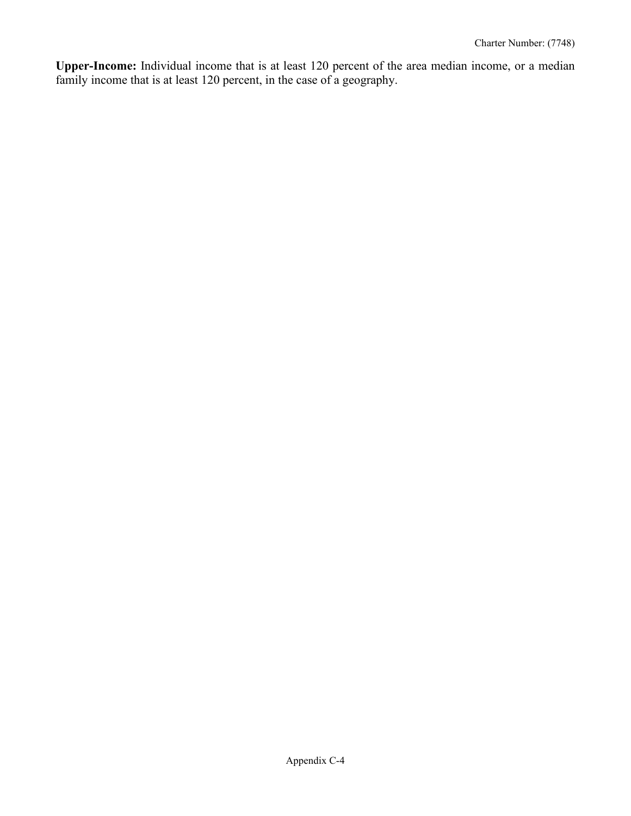**Upper-Income:** Individual income that is at least 120 percent of the area median income, or a median family income that is at least 120 percent, in the case of a geography.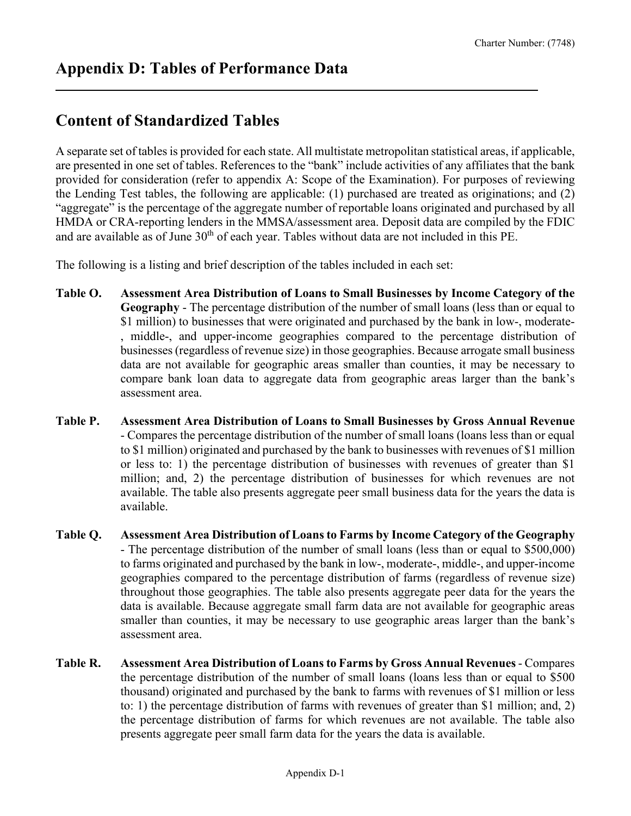# **Content of Standardized Tables**

A separate set of tables is provided for each state. All multistate metropolitan statistical areas, if applicable, are presented in one set of tables. References to the "bank" include activities of any affiliates that the bank provided for consideration (refer to appendix A: Scope of the Examination). For purposes of reviewing the Lending Test tables, the following are applicable: (1) purchased are treated as originations; and (2) "aggregate" is the percentage of the aggregate number of reportable loans originated and purchased by all HMDA or CRA-reporting lenders in the MMSA/assessment area. Deposit data are compiled by the FDIC and are available as of June 30<sup>th</sup> of each year. Tables without data are not included in this PE.

The following is a listing and brief description of the tables included in each set:

- **Table O. Assessment Area Distribution of Loans to Small Businesses by Income Category of the Geography** - The percentage distribution of the number of small loans (less than or equal to \$1 million) to businesses that were originated and purchased by the bank in low-, moderate- , middle-, and upper-income geographies compared to the percentage distribution of businesses (regardless of revenue size) in those geographies. Because arrogate small business data are not available for geographic areas smaller than counties, it may be necessary to compare bank loan data to aggregate data from geographic areas larger than the bank's assessment area.
- **Table P. Assessment Area Distribution of Loans to Small Businesses by Gross Annual Revenue** - Compares the percentage distribution of the number of small loans (loans less than or equal to \$1 million) originated and purchased by the bank to businesses with revenues of \$1 million or less to: 1) the percentage distribution of businesses with revenues of greater than \$1 million; and, 2) the percentage distribution of businesses for which revenues are not available. The table also presents aggregate peer small business data for the years the data is available.
- **Table Q. Assessment Area Distribution of Loans to Farms by Income Category of the Geography**  - The percentage distribution of the number of small loans (less than or equal to \$500,000) to farms originated and purchased by the bank in low-, moderate-, middle-, and upper-income geographies compared to the percentage distribution of farms (regardless of revenue size) throughout those geographies. The table also presents aggregate peer data for the years the data is available. Because aggregate small farm data are not available for geographic areas smaller than counties, it may be necessary to use geographic areas larger than the bank's assessment area.
- **Table R. Assessment Area Distribution of Loans to Farms by Gross Annual Revenues** Compares the percentage distribution of the number of small loans (loans less than or equal to \$500 thousand) originated and purchased by the bank to farms with revenues of \$1 million or less to: 1) the percentage distribution of farms with revenues of greater than \$1 million; and, 2) the percentage distribution of farms for which revenues are not available. The table also presents aggregate peer small farm data for the years the data is available.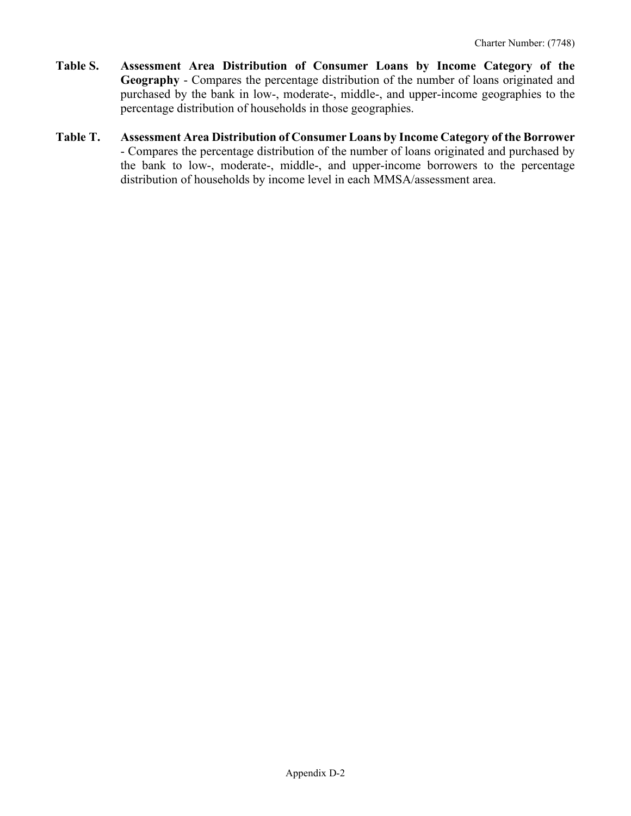- **Table S. Assessment Area Distribution of Consumer Loans by Income Category of the Geography** - Compares the percentage distribution of the number of loans originated and purchased by the bank in low-, moderate-, middle-, and upper-income geographies to the percentage distribution of households in those geographies.
- **Table T. Assessment Area Distribution of Consumer Loans by Income Category of the Borrower** - Compares the percentage distribution of the number of loans originated and purchased by the bank to low-, moderate-, middle-, and upper-income borrowers to the percentage distribution of households by income level in each MMSA/assessment area.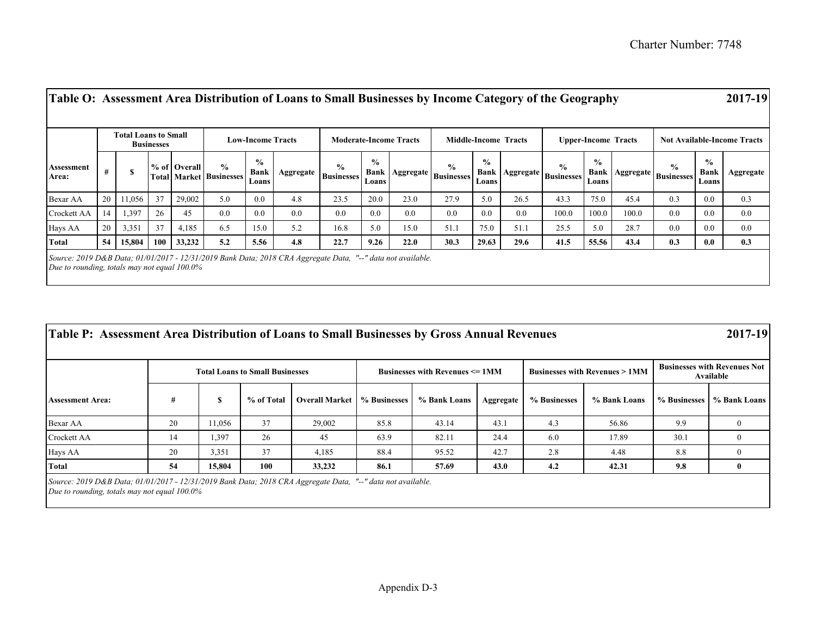|                     | Total Loans to Small<br><b>Businesses</b> |        |                  |              | <b>Low-Income Tracts</b>                        |                                       |           | <b>Moderate-Income Tracts</b>      |                                |      | <b>Middle-Income Tracts</b>               |                                |      | <b>Upper-Income Tracts</b>                             |                                |       | <b>Not Available-Income Tracts</b>            |                                       |           |
|---------------------|-------------------------------------------|--------|------------------|--------------|-------------------------------------------------|---------------------------------------|-----------|------------------------------------|--------------------------------|------|-------------------------------------------|--------------------------------|------|--------------------------------------------------------|--------------------------------|-------|-----------------------------------------------|---------------------------------------|-----------|
| Assessment<br>Area: | #                                         |        |                  | % of Overall | $\frac{0}{0}$<br><b>Total Market Businesses</b> | $\frac{6}{9}$<br><b>Bank</b><br>Loans | Aggregate | $\frac{0}{0}$<br><b>Businesses</b> | $\frac{0}{0}$<br>Bank<br>Loans |      | $\frac{0}{0}$<br>  Aggregate   Businesses | $\frac{0}{0}$<br>Bank<br>Loans |      | $\frac{0}{0}$<br>$\therefore$   Aggregate   Businesses | $\frac{0}{0}$<br>Bank<br>Loans |       | $\frac{0}{0}$<br>  Aggregate   Businesses   - | $\frac{0}{0}$<br><b>Bank</b><br>Loans | Aggregate |
| Bexar AA            | 20                                        | 11,056 | 37               | 29,002       | 5.0                                             | 0.0                                   | 4.8       | 23.5                               | 20.0                           | 23.0 | 27.9                                      | 5.0                            | 26.5 | 43.3                                                   | 75.0                           | 45.4  | 0.3                                           | 0.0                                   | 0.3       |
| Crockett AA         | 14                                        | 1,397  | 26               | 45           | 0.0                                             | 0.0                                   | 0.0       | 0.0                                | 0.0                            | 0.0  | 0.0                                       | 0.0                            | 0.0  | 100.0                                                  | 100.0                          | 100.0 | 0.0                                           | 0.0                                   | 0.0       |
| Hays AA             | 20                                        | 3,351  | 37               | 4,185        | 6.5                                             | 15.0                                  | 5.2       | 16.8                               | 5.0                            | 15.0 | 51.1                                      | 75.0                           | 51.1 | 25.5                                                   | 5.0                            | 28.7  | 0.0                                           | 0.0                                   | 0.0       |
| Total               | 54                                        | 15,804 | 100 <sub>1</sub> | 33,232       | 5.2                                             | 5.56                                  | 4.8       | 22.7                               | 9.26                           | 22.0 | 30.3                                      | 29.63                          | 29.6 | 41.5                                                   | 55.56                          | 43.4  | 0.3                                           | 0.0                                   | 0.3       |

| Table P: Assessment Area Distribution of Loans to Small Businesses by Gross Annual Revenues                 |    |        |                                        |                       |              |                                                        |           |              |                                          |                                                  | 2017-19                     |  |
|-------------------------------------------------------------------------------------------------------------|----|--------|----------------------------------------|-----------------------|--------------|--------------------------------------------------------|-----------|--------------|------------------------------------------|--------------------------------------------------|-----------------------------|--|
|                                                                                                             |    |        | <b>Total Loans to Small Businesses</b> |                       |              | <b>Businesses with Revenues <math>\leq 1</math> MM</b> |           |              | <b>Businesses with Revenues &gt; 1MM</b> | <b>Businesses with Revenues Not</b><br>Available |                             |  |
| <b>Assessment Area:</b>                                                                                     | #  | S      | % of Total                             | <b>Overall Market</b> | % Businesses | % Bank Loans                                           | Aggregate | % Businesses | % Bank Loans                             |                                                  | % Businesses   % Bank Loans |  |
| Bexar AA                                                                                                    | 20 | 11.056 | 37                                     | 29,002                | 85.8         | 43.14                                                  | 43.1      | 4.3          | 56.86                                    | 9.9                                              | $\theta$                    |  |
| Crockett AA                                                                                                 | 14 | 1,397  | 26                                     | 45                    | 63.9         | 82.11                                                  | 24.4      | 6.0          | 17.89                                    | 30.1                                             |                             |  |
| Hays AA                                                                                                     | 20 | 3,351  | 37                                     | 4,185                 | 88.4         | 95.52                                                  | 42.7      | 2.8          | 4.48                                     | 8.8                                              | $\mathbf{0}$                |  |
| Total                                                                                                       | 54 | 15,804 | 100                                    | 33,232                | 86.1         | 57.69                                                  | 43.0      | 4.2          | 42.31                                    | 9.8                                              | 0                           |  |
| Source: 2019 D&B Data; 01/01/2017 - 12/31/2019 Bank Data; 2018 CRA Aggregate Data, "--" data not available. |    |        |                                        |                       |              |                                                        |           |              |                                          |                                                  |                             |  |

*Due to rounding, totals may not equal 100.0%*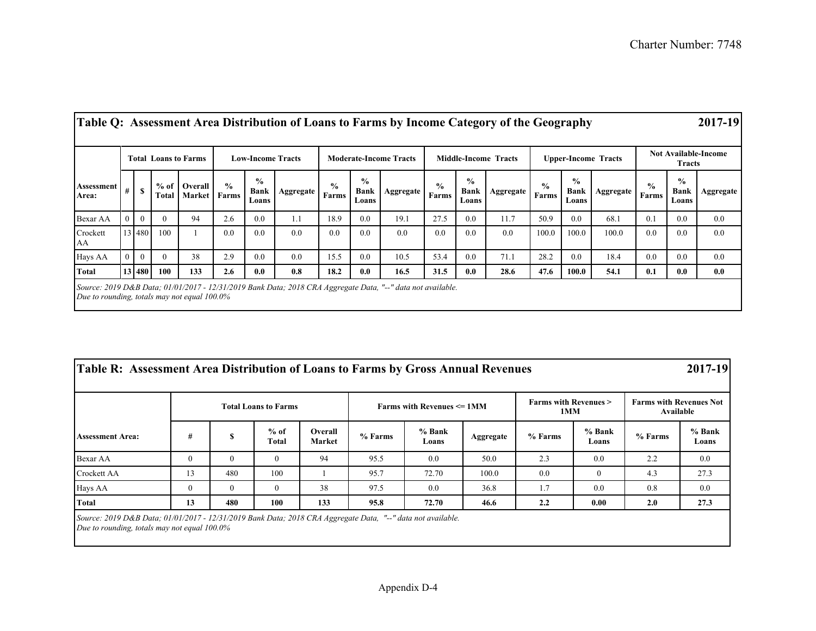| Table Q: Assessment Area Distribution of Loans to Farms by Income Category of the Geography                                                                    |   |              |                          |                         |               |                                       |           |                        |                                       |           |                        |                                       |           |                        |                                       |           |                        |                                       | 2017-19          |
|----------------------------------------------------------------------------------------------------------------------------------------------------------------|---|--------------|--------------------------|-------------------------|---------------|---------------------------------------|-----------|------------------------|---------------------------------------|-----------|------------------------|---------------------------------------|-----------|------------------------|---------------------------------------|-----------|------------------------|---------------------------------------|------------------|
| <b>Total Loans to Farms</b>                                                                                                                                    |   |              | <b>Low-Income Tracts</b> |                         |               | <b>Moderate-Income Tracts</b>         |           |                        | <b>Middle-Income Tracts</b>           |           |                        | <b>Upper-Income Tracts</b>            |           |                        | <b>Not Available-Income</b><br>Tracts |           |                        |                                       |                  |
| Assessment<br>Area:                                                                                                                                            | # | $\mathbf{s}$ | $%$ of<br>Total          | Overall<br>Market Farms | $\frac{0}{0}$ | $\frac{0}{0}$<br><b>Bank</b><br>Loans | Aggregate | $\frac{6}{9}$<br>Farms | $\frac{0}{0}$<br><b>Bank</b><br>Loans | Aggregate | $\frac{6}{6}$<br>Farms | $\frac{1}{2}$<br><b>Bank</b><br>Loans | Aggregate | $\frac{0}{0}$<br>Farms | $\frac{0}{0}$<br><b>Bank</b><br>Loans | Aggregate | $\frac{6}{9}$<br>Farms | $\frac{0}{0}$<br><b>Bank</b><br>Loans | Aggregate        |
| Bexar AA                                                                                                                                                       |   | $\Omega$     | $\theta$                 | 94                      | 2.6           | 0.0                                   | 1.1       | 18.9                   | 0.0                                   | 19.1      | 27.5                   | 0.0                                   | 11.7      | 50.9                   | 0.0                                   | 68.1      | 0.1                    | 0.0                                   | 0.0              |
| Crockett<br>AA                                                                                                                                                 |   | 13 480       | 100                      |                         | 0.0           | 0.0                                   | 0.0       | 0.0                    | 0.0                                   | 0.0       | 0.0                    | 0.0                                   | 0.0       | 100.0                  | 100.0                                 | 100.0     | 0.0                    | 0.0                                   | 0.0 <sub>1</sub> |
| Hays AA                                                                                                                                                        |   | $\Omega$     | $\theta$                 | 38                      | 2.9           | 0.0                                   | 0.0       | 15.5                   | 0.0                                   | 10.5      | 53.4                   | 0.0                                   | 71.1      | 28.2                   | 0.0                                   | 18.4      | 0.0                    | 0.0                                   | 0.0              |
| <b>Total</b>                                                                                                                                                   |   | 13 480       | 100                      | 133                     | 2.6           | 0.0                                   | 0.8       | 18.2                   | 0.0                                   | 16.5      | 31.5                   | 0.0                                   | 28.6      | 47.6                   | 100.0                                 | 54.1      | 0.1                    | 0.0                                   | 0.0              |
| Source: 2019 D&B Data; 01/01/2017 - 12/31/2019 Bank Data; 2018 CRA Aggregate Data, "--" data not available.<br>Due to rounding, totals may not equal $100.0\%$ |   |              |                          |                         |               |                                       |           |                        |                                       |           |                        |                                       |           |                        |                                       |           |                        |                                       |                  |

| Table R: Assessment Area Distribution of Loans to Farms by Gross Annual Revenues |          |     |                             |                   |         |                                      |           |                                        |                 |                                             | 2017-19         |  |
|----------------------------------------------------------------------------------|----------|-----|-----------------------------|-------------------|---------|--------------------------------------|-----------|----------------------------------------|-----------------|---------------------------------------------|-----------------|--|
|                                                                                  |          |     | <b>Total Loans to Farms</b> |                   |         | <b>Farms with Revenues &lt;= 1MM</b> |           | <b>Farms with Revenues &gt;</b><br>1MM |                 | <b>Farms with Revenues Not</b><br>Available |                 |  |
| <b>Assessment Area:</b>                                                          | #        |     | $%$ of<br>Total             | Overall<br>Market | % Farms | % Bank<br>Loans                      | Aggregate | % Farms                                | % Bank<br>Loans | % Farms                                     | % Bank<br>Loans |  |
| Bexar AA                                                                         | $\theta$ |     | 0                           | 94                | 95.5    | 0.0                                  | 50.0      | 2.3                                    | 0.0             | 2.2                                         | 0.0             |  |
| Crockett AA                                                                      | 13       | 480 | 100                         |                   | 95.7    | 72.70                                | 100.0     | 0.0                                    | $\overline{0}$  | 4.3                                         | 27.3            |  |
| Hays AA                                                                          |          |     |                             | 38                | 97.5    | 0.0                                  | 36.8      | 1.7                                    | 0.0             | 0.8                                         | 0.0             |  |
| <b>Total</b>                                                                     | 13       | 480 | 100                         | 133               | 95.8    | 72.70                                | 46.6      | 2.2                                    | 0.00            | 2.0                                         | 27.3            |  |

*Source: 2019 D&B Data; 01/01/2017 - 12/31/2019 Bank Data; 2018 CRA Aggregate Data, "--" data not available. Due to rounding, totals may not equal 100.0%*